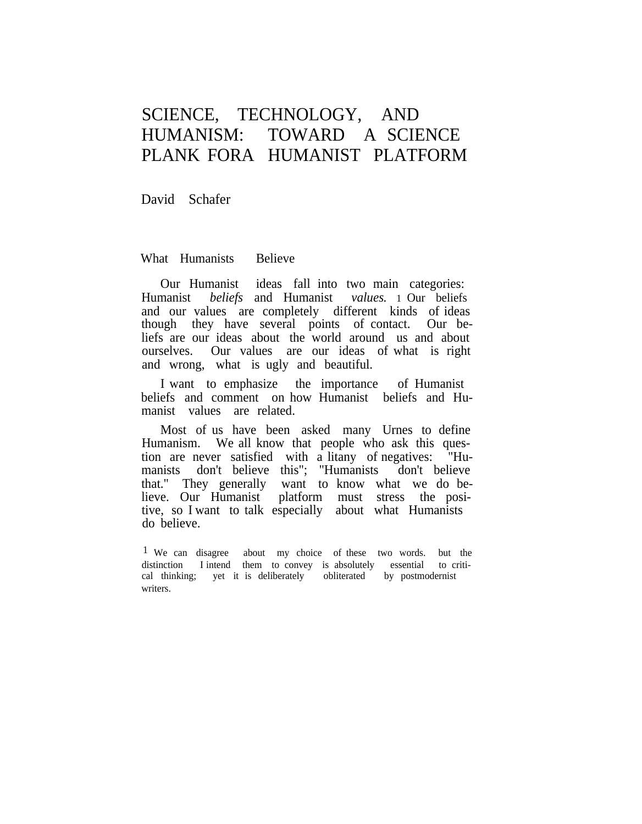# SCIENCE, TECHNOLOGY, AND HUMANISM: TOWARD A SCIENCE PLANK FORA HUMANIST PLATFORM

David Schafer

What Humanists Believe

Our Humanist ideas fall into two main categories: Humanist *beliefs* and Humanist *values.* 1 Our beliefs and our values are completely different kinds of ideas though they have several points of contact. Our beliefs are our ideas about the world around us and about ourselves. Our values are our ideas of what is right and wrong, what is ugly and beautiful.

I want to emphasize the importance of Humanist beliefs and comment on how Humanist beliefs and Humanist values are related.

Most of us have been asked many Urnes to define Humanism. We all know that people who ask this question are never satisfied with a litany of negatives: "Humanists don't believe this"; "Humanists don't believe that." They generally want to know what we do believe. Our Humanist platform must stress the positive, so I want to talk especially about what Humanists do believe.

<sup>&</sup>lt;sup>1</sup> We can disagree about my choice of these two words. but the distinction I intend them to convey is absolutely essential to critical thinking; yet it is deliberately obliterated by postmodernist writers.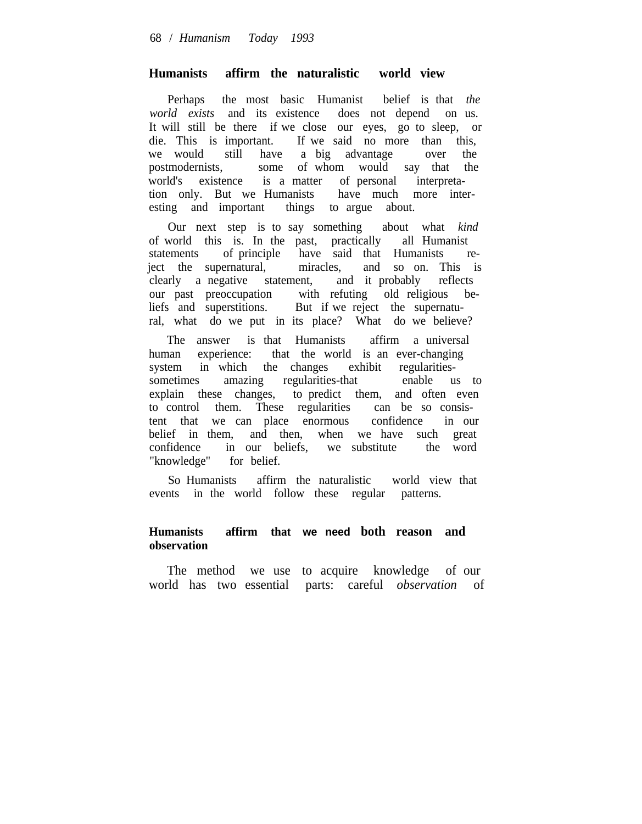### **Humanists affirm the naturalistic world view**

Perhaps the most basic Humanist belief is that *the world exists* and its existence does not depend on us. It will still be there if we close our eyes, go to sleep, or die. This is important. If we said no more than this, we would still have a big advantage over the postmodernists, some of whom would say that the world's existence is a matter of personal interpretation only. But we Humanists have much more interesting and important things to argue about.

Our next step is to say something about what *kind* of world this is. In the past, practically all Humanist statements of principle have said that Humanists reject the supernatural, miracles, and so on. This is clearly a negative statement, and it probably reflects clearly a negative statement, our past preoccupation with refuting old religious beliefs and superstitions. But if we reject the supernatural, what do we put in its place? What do we believe?

The answer is that Humanists affirm a universal human experience: that the world is an ever-changing system in which the changes exhibit regularitiessometimes amazing regularities-that enable us to explain these changes, to predict them, and often even to control them. These regularities can be so consistent that we can place enormous confidence in our belief in them, and then, when we have such great confidence in our beliefs, we substitute the word "knowledge" for belief.

So Humanists affirm the naturalistic world view that events in the world follow these regular patterns.

## **Humanists affirm that we need both reason and observation**

The method we use to acquire knowledge of our world has two essential parts: careful *observation* of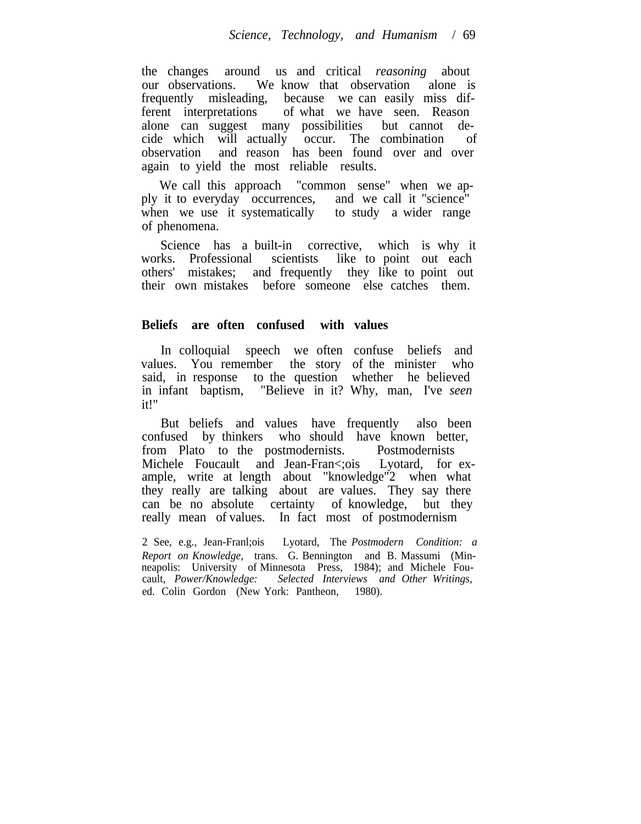the changes around us and critical *reasoning* about our observations. We know that observation alone is frequently misleading, because we can easily miss different interpretations of what we have seen. Reason alone can suggest many possibilities but cannot decide which will actually occur. The combination of observation and reason has been found over and over again to yield the most reliable results.

We call this approach "common sense" when we apply it to everyday occurrences, and we call it "science" when we use it systematically to study a wider range of phenomena.

Science has a built-in corrective, which is why it works. Professional scientists like to point out each others' mistakes; and frequently they like to point out their own mistakes before someone else catches them.

## **Beliefs are often confused with values**

In colloquial speech we often confuse beliefs and values. You remember the story of the minister who said, in response to the question whether he believed in infant baptism, "Believe in it? Why, man, I've *seen* it!"

But beliefs and values have frequently also been confused by thinkers who should have known better, from Plato to the postmodernists. Postmodernists Michele Foucault and Jean-Fran<rois Lyotard, for example, write at length about "knowledge"2 when what they really are talking about are values. They say there can be no absolute certainty of knowledge, but they really mean of values. In fact most of postmodernism

2 See, e.g., Jean-Franl;ois Lyotard, The *Postmodern Condition: a Report on Knowledge,* trans. G. Bennington and B. Massumi (Minneapolis: University of Minnesota Press, 1984); and Michele Foucault, *Power/Knowledge: Selected Interviews and Other Writings,* ed. Colin Gordon (New York: Pantheon, 1980).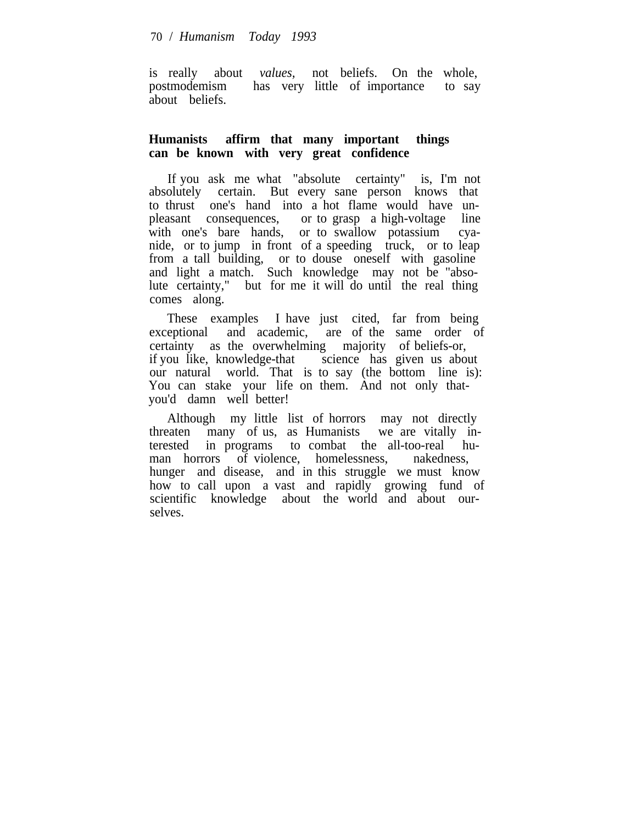is really about *values,* not beliefs. On the whole, postmodemism has very little of importance to say about beliefs.

# **Humanists affirm that many important things can be known with very great confidence**

If you ask me what "absolute certainty" is, I'm not absolutely certain. But every sane person knows that to thrust one's hand into a hot flame would have unpleasant consequences, or to grasp a high-voltage line with one's bare hands, or to swallow potassium cyanide, or to jump in front of a speeding truck, or to leap from a tall building, or to douse oneself with gasoline and light a match. Such knowledge may not be "absolute certainty," but for me it will do until the real thing comes along.

These examples I have just cited, far from being exceptional and academic, are of the same order of certainty as the overwhelming majority of beliefs-or, if you like, knowledge-that science has given us about our natural world. That is to say (the bottom line is): You can stake your life on them. And not only thatyou'd damn well better!

Although my little list of horrors may not directly threaten many of us, as Humanists we are vitally interested in programs to combat the all-too-real human horrors of violence, homelessness, nakedness, hunger and disease, and in this struggle we must know how to call upon a vast and rapidly growing fund of scientific knowledge about the world and about ourselves.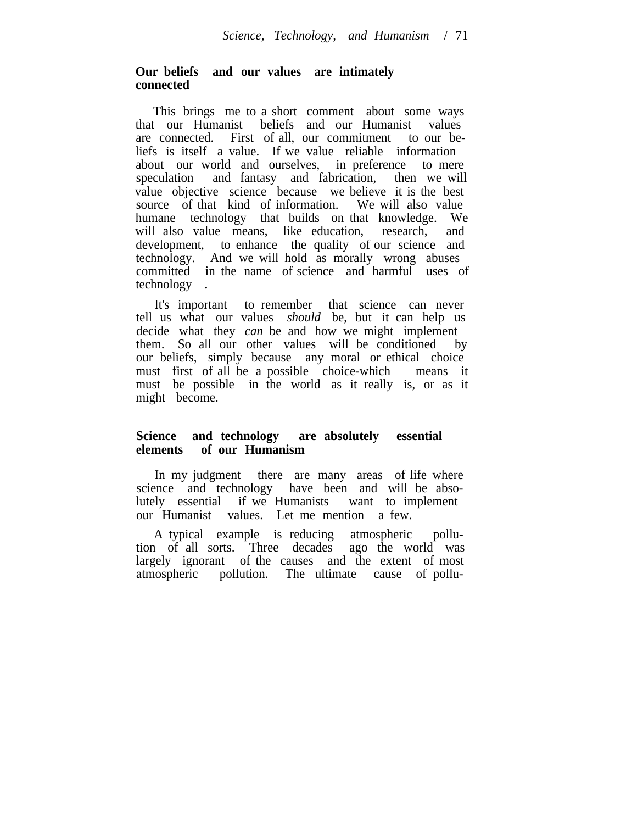# **Our beliefs and our values are intimately connected**

This brings me to a short comment about some ways that our Humanist beliefs and our Humanist values are connected. First of all, our commitment to our beliefs is itself a value. If we value reliable information about our world and ourselves, in preference to mere speculation and fantasy and fabrication, then we will value objective science because we believe it is the best source of that kind of information. We will also value humane technology that builds on that knowledge. We will also value means, like education, research, and development, to enhance the quality of our science and technology. And we will hold as morally wrong abuses committed in the name of science and harmful uses of technology .

It's important to remember that science can never tell us what our values *should* be, but it can help us decide what they *can* be and how we might implement them. So all our other values will be conditioned by our beliefs, simply because any moral or ethical choice must first of all be a possible choice-which means it must be possible in the world as it really is, or as it might become.

### **Science and technology are absolutely essential elements of our Humanism**

In my judgment there are many areas of life where science and technology have been and will be absolutely essential if we Humanists want to implement our Humanist values. Let me mention a few.

A typical example is reducing atmospheric pollution of all sorts. Three decades ago the world was largely ignorant of the causes and the extent of most atmospheric pollution. The ultimate cause of pollu-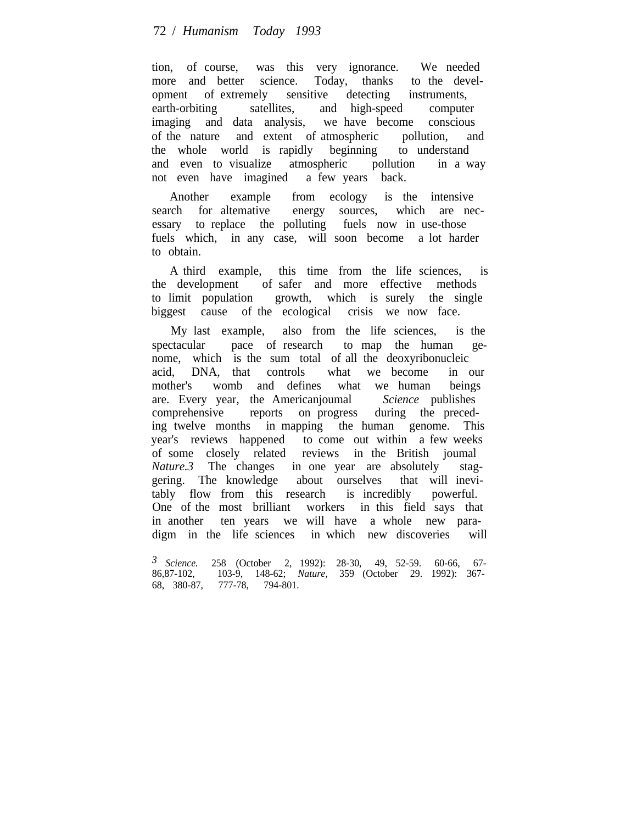# 72 / *Humanism Today 1993*

tion, of course, was this very ignorance. We needed more and better science. Today, thanks to the development of extremely sensitive detecting instruments, earth-orbiting satellites, and high-speed computer imaging and data analysis, we have become conscious of the nature and extent of atmospheric pollution, and the whole world is rapidly beginning to understand and even to visualize atmospheric pollution in a way not even have imagined a few years back.

Another example from ecology is the intensive search for altemative energy sources, which are necessary to replace the polluting fuels now in use-those fuels which, in any case, will soon become a lot harder to obtain.

A third example, this time from the life sciences, is the development of safer and more effective methods to limit population growth, which is surely the single biggest cause of the ecological crisis we now face.

My last example, also from the life sciences, is the spectacular pace of research to map the human genome, which is the sum total of all the deoxyribonucleic acid, DNA, that controls what we become in our mother's womb and defines what we human beings are. Every year, the Americanjoumal *Science* publishes comprehensive reports on progress during the preceding twelve months in mapping the human genome. This year's reviews happened to come out within a few weeks of some closely related reviews in the British joumal *Nature.3* The changes in one year are absolutely staggering. The knowledge about ourselves that will inevitably flow from this research is incredibly powerful. One of the most brilliant workers in this field says that in another ten years we will have a whole new paradigm in the life sciences in which new discoveries will

*<sup>3</sup> Science.* 258 (October 2, 1992): 28-30, 49, 52-59. 60-66, 67- 86,87-102, 103-9, 148-62; *Nature,* 359 (October 29. 1992): 367- 68, 380-87, 777-78, 794-801.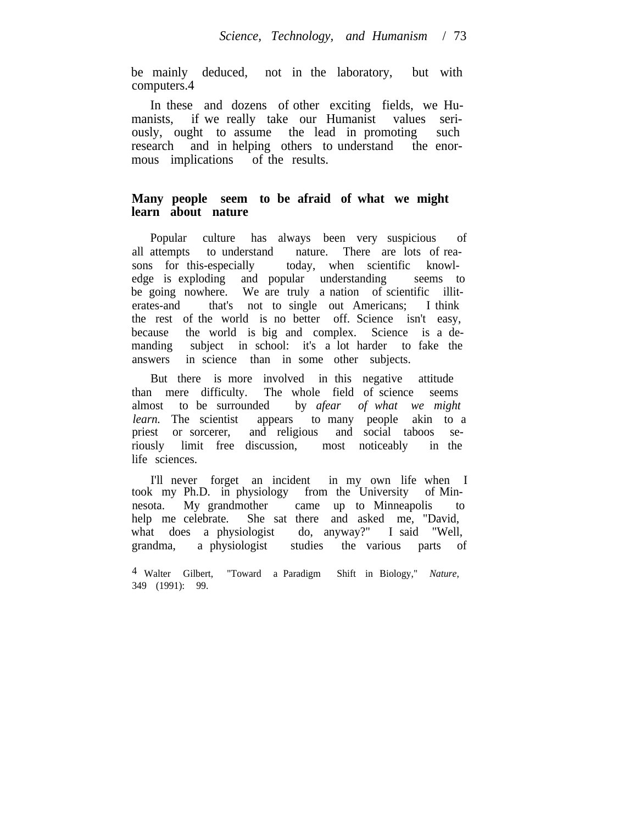be mainly deduced, not in the laboratory, but with computers.4

In these and dozens of other exciting fields, we Humanists, if we really take our Humanist values seriously, ought to assume the lead in promoting such research and in helping others to understand the enormous implications of the results.

## **Many people seem to be afraid of what we might learn about nature**

Popular culture has always been very suspicious of all attempts to understand nature. There are lots of reasons for this-especially today, when scientific knowledge is exploding and popular understanding seems to be going nowhere. We are truly a nation of scientific illiterates-and that's not to single out Americans; I think the rest of the world is no better off. Science isn't easy, because the world is big and complex. Science is a demanding subject in school: it's a lot harder to fake the answers in science than in some other subjects.

But there is more involved in this negative attitude than mere difficulty. The whole field of science seems almost to be surrounded by *afear of what we might learn*. The scientist appears to many people akin to a priest or sorcerer, and religious and social taboos seriously limit free discussion, most noticeably in the life sciences.

I'll never forget an incident in my own life when I took my Ph.D. in physiology from the University of Minnesota. My grandmother came up to Minneapolis to help me celebrate. She sat there and asked me, "David, what does a physiologist do, anyway?" I said "Well, grandma, a physiologist studies the various parts of

4 Walter Gilbert, "Toward a Paradigm Shift in Biology," *Nature,* 349 (1991): 99.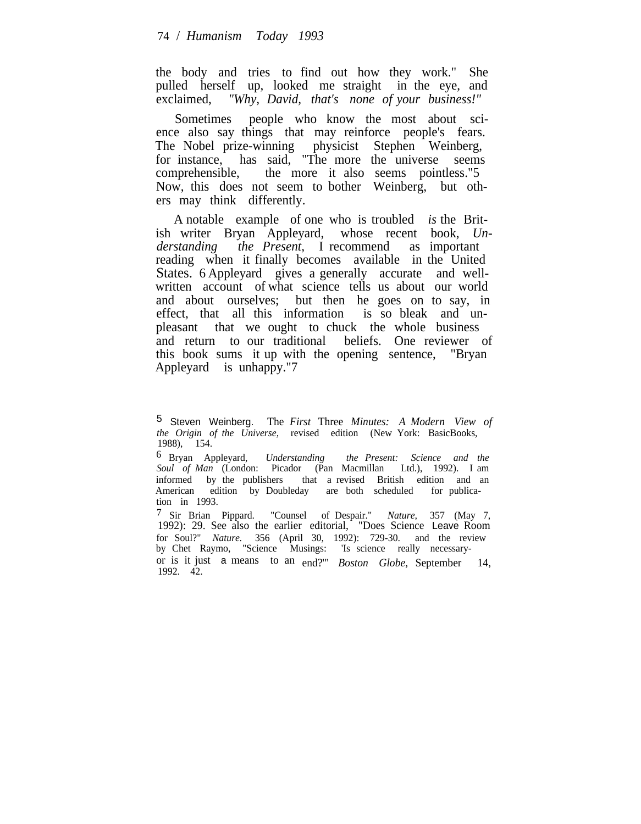the body and tries to find out how they work." She pulled herself up, looked me straight in the eye, and exclaimed, *"Why, David, that's none of your business!"*

Sometimes people who know the most about science also say things that may reinforce people's fears. The Nobel prize-winning physicist Stephen Weinberg, for instance, has said, "The more the universe seems comprehensible, the more it also seems pointless."5 Now, this does not seem to bother Weinberg, but others may think differently.

A notable example of one who is troubled *is* the British writer Bryan Appleyard, whose recent book, *Understanding the Present,* I recommend as important reading when it finally becomes available in the United States. 6 Appleyard gives a generally accurate and wellwritten account of what science tells us about our world and about ourselves; but then he goes on to say, in effect, that all this information is so bleak and unpleasant that we ought to chuck the whole business and return to our traditional beliefs. One reviewer of this book sums it up with the opening sentence, "Bryan Appleyard is unhappy."7

6 Bryan Appleyard, *Understanding the Present: Science and the Soul of Man* (London: Picador (Pan Macmillan Ltd.), 1992). I am informed by the publishers that a revised British edition and an American edition by Doubleday are both scheduled for publication in 1993.

7 Sir Brian Pippard. "Counsel of Despair." *Nature,* 357 (May 7, 1992): 29. See also the earlier editorial, "Does Science Leave Room for Soul?" *Nature.* 356 (April 30, 1992): 729-30. and the review by Chet Raymo, "Science Musings: 'Is science really necessaryor is it just a means to an end?'" *Boston Globe,* September 14, 1992. 42.

<sup>5</sup> Steven Weinberg. The *First* Three *Minutes: A Modern View of the Origin of the Universe,* revised edition (New York: BasicBooks, 1988), 154.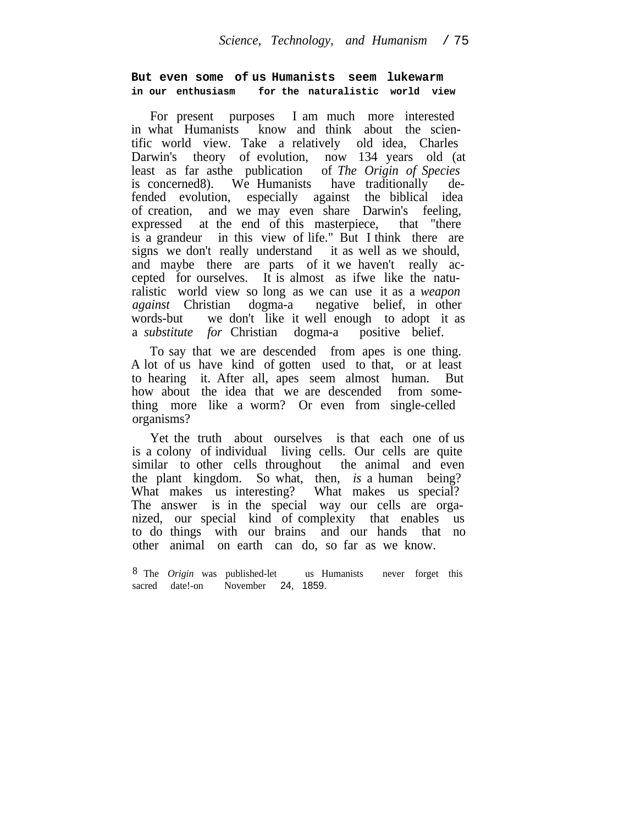#### **But even some of us Humanists seem lukewarm in our enthusiasm for the naturalistic world view**

For present purposes I am much more interested in what Humanists know and think about the scientific world view. Take a relatively old idea, Charles Darwin's theory of evolution, now 134 years old (at least as far as the publication of The Origin of Species least as far asthe publication is concerned8). We Humanists have traditionally defended evolution, especially against the biblical idea of creation, and we may even share Darwin's feeling, expressed at the end of this masterpiece, that "there is a grandeur in this view of life." But I think there are signs we don't really understand it as well as we should, and maybe there are parts of it we haven't really accepted for ourselves. It is almost as ifwe like the naturalistic world view so long as we can use it as a *weapon against* Christian dogma-a negative belief, in other words-but we don't like it well enough to adopt it as a *substitute for* Christian dogma-a positive belief.

To say that we are descended from apes is one thing. A lot of us have kind of gotten used to that, or at least to hearing it. After all, apes seem almost human. But how about the idea that we are descended from something more like a worm? Or even from single-celled organisms?

Yet the truth about ourselves is that each one of us is a colony of individual living cells. Our cells are quite similar to other cells throughout the animal and even the plant kingdom. So what, then, *is* a human being? What makes us interesting? What makes us special? The answer is in the special way our cells are organized, our special kind of complexity that enables us to do things with our brains and our hands that no other animal on earth can do, so far as we know.

<sup>8</sup> The *Origin* was published-let us Humanists never forget this sacred date!-on November 24, 1859. November 24, 1859.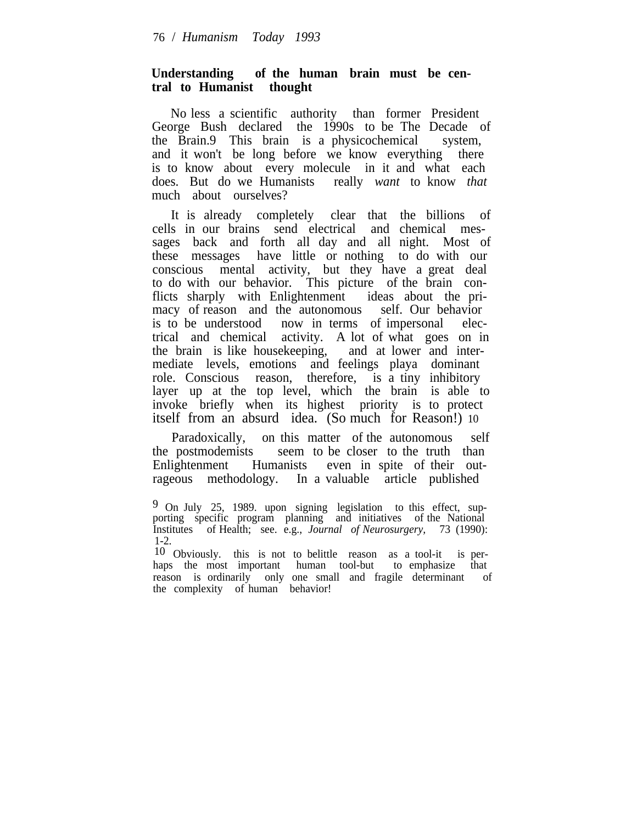### **Understanding of the human brain must be central to Humanist thought**

No less a scientific authority than former President George Bush declared the 1990s to be The Decade of the Brain.9 This brain is a physicochemical system, and it won't be long before we know everything there is to know about every molecule in it and what each does. But do we Humanists really *want* to know *that* much about ourselves?

It is already completely clear that the billions of cells in our brains send electrical and chemical messages back and forth all day and all night. Most of these messages have little or nothing to do with our conscious mental activity, but they have a great deal to do with our behavior. This picture of the brain conflicts sharply with Enlightenment ideas about the primacy of reason and the autonomous self. Our behavior is to be understood now in terms of impersonal electrical and chemical activity. A lot of what goes on in the brain is like housekeeping, and at lower and intermediate levels, emotions and feelings playa dominant role. Conscious reason, therefore, is a tiny inhibitory layer up at the top level, which the brain is able to invoke briefly when its highest priority is to protect itself from an absurd idea. (So much for Reason!) 10

Paradoxically, on this matter of the autonomous self the postmodemists seem to be closer to the truth than Enlightenment Humanists even in spite of their outrageous methodology. In a valuable article published

9 On July 25, 1989. upon signing legislation to this effect, supporting specific program planning and initiatives of the National Institutes of Health; see. e.g., *Journal of Neurosurgery,* 73 (1990): 1-2.

10 Obviously. this is not to belittle reason as a tool-it is perhaps the most important human tool-but to emphasize that reason is ordinarily only one small and fragile determinant of the complexity of human behavior!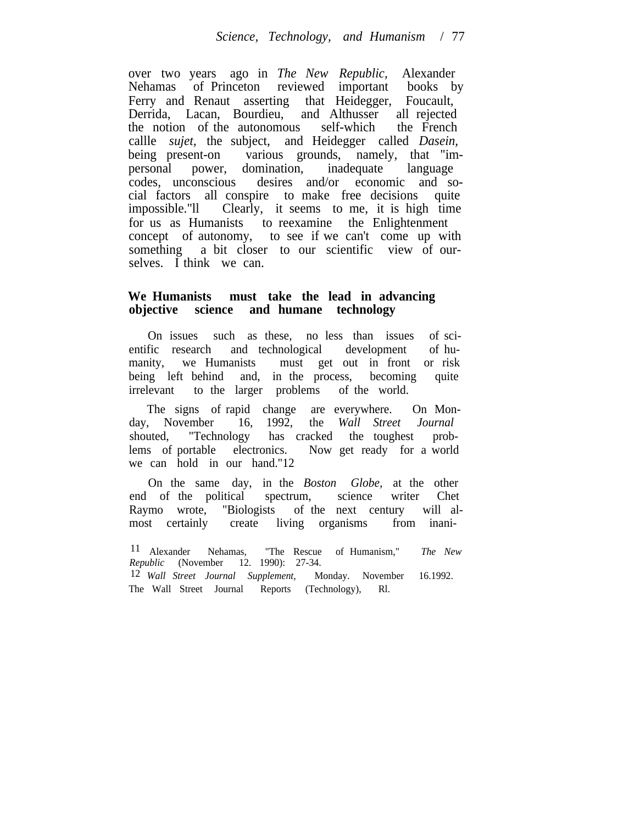over two years ago in *The New Republic,* Alexander Nehamas of Princeton reviewed important books by Ferry and Renaut asserting that Heidegger, Foucault, Derrida, Lacan, Bourdieu, and Althusser all rejected the notion of the autonomous self-which the French callle *sujet,* the subject, and Heidegger called *Dasein,* being present-on various grounds, namely, that "impersonal power, domination, inadequate language codes, unconscious desires and/or economic and social factors all conspire to make free decisions quite impossible."ll Clearly, it seems to me, it is high time for us as Humanists to reexamine the Enlightenment concept of autonomy, to see if we can't come up with something a bit closer to our scientific view of ourselves. I think we can.

# **We Humanists must take the lead in advancing objective science and humane technology**

On issues such as these, no less than issues of scientific research and technological development of humanity, we Humanists must get out in front or risk being left behind and, in the process, becoming quite irrelevant to the larger problems of the world.

The signs of rapid change are everywhere. On Mon-<br>
, November 16, 1992, the *Wall Street Journal* day, November 16, 1992, the *Wall Street Journal* shouted, "Technology has cracked the toughest problems of portable electronics. Now get ready for a world we can hold in our hand."12

On the same day, in the *Boston Globe,* at the other end of the political spectrum, science writer Chet Raymo wrote, "Biologists of the next century will almost certainly create living organisms from inani-

<sup>11</sup> Alexander Nehamas, "The Rescue of Humanism," *The New Republic* (November 12. 1990): 27-34.

<sup>12</sup> *Wall Street Journal Supplement,* Monday. November 16.1992. The Wall Street Journal Reports (Technology), Rl.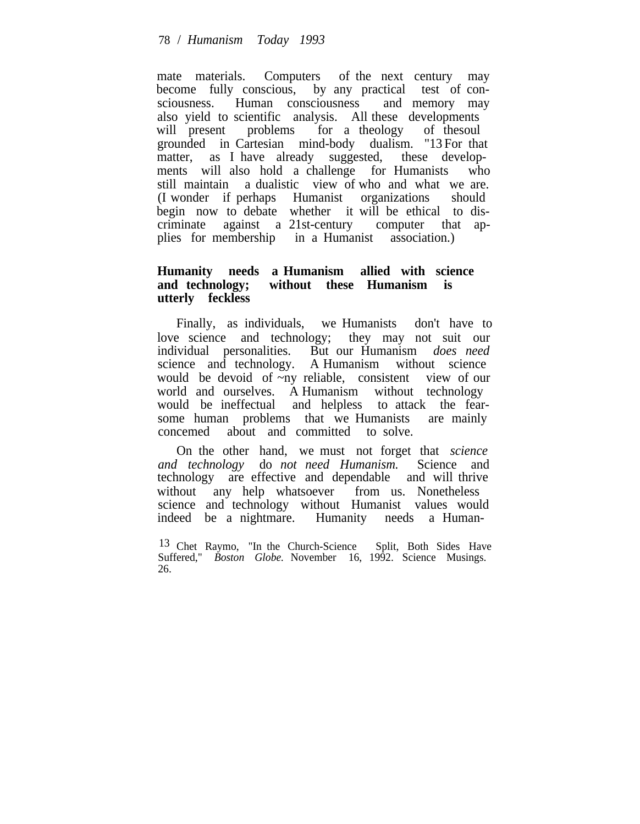mate materials. Computers of the next century may become fully conscious, by any practical test of consciousness. Human consciousness and memory may also yield to scientific analysis. All these developments will present problems for a theology of thesoul grounded in Cartesian mind-body dualism. "13 For that matter, as I have already suggested, these developments will also hold a challenge for Humanists who still maintain a dualistic view of who and what we are. (I wonder if perhaps Humanist organizations should begin now to debate whether it will be ethical to discriminate against a 21st-century computer that applies for membership in a Humanist association.)

# **Humanity needs a Humanism allied with science and technology; without these Humanism is utterly feckless**

Finally, as individuals, we Humanists don't have to love science and technology; they may not suit our individual personalities. But our Humanism *does need* science and technology. A Humanism without science would be devoid of ~ny reliable, consistent view of our world and ourselves. A Humanism without technology would be ineffectual and helpless to attack the fearsome human problems that we Humanists are mainly concemed about and committed to solve.

On the other hand, we must not forget that *science and technology* do *not need Humanism.* Science and technology are effective and dependable and will thrive without any help whatsoever from us. Nonetheless science and technology without Humanist values would indeed be a nightmare. Humanity needs a Human-

13 Chet Raymo, "In the Church-Science Split, Both Sides Have Suffered," *Boston Globe*. November 16, 1992. Science Musings. 26.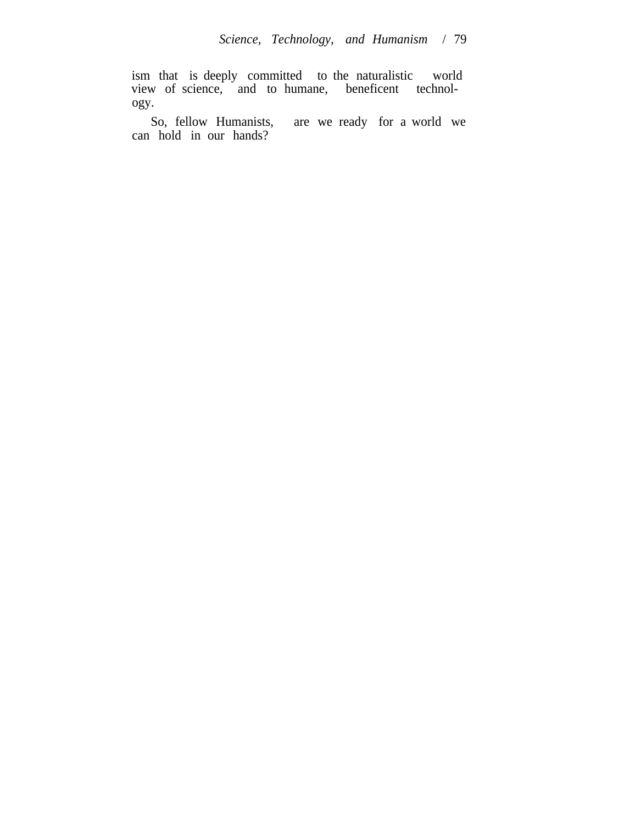ism that is deeply committed to the naturalistic world view of science, and to humane, beneficent technology.

So, fellow Humanists, are we ready for a world we can hold in our hands?